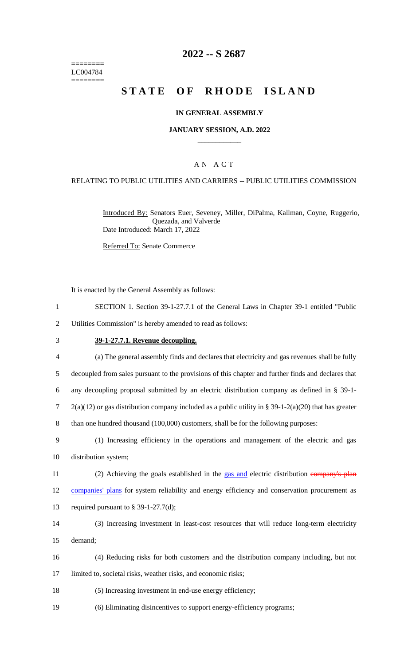======== LC004784  $=$ 

## **2022 -- S 2687**

# **STATE OF RHODE ISLAND**

#### **IN GENERAL ASSEMBLY**

#### **JANUARY SESSION, A.D. 2022 \_\_\_\_\_\_\_\_\_\_\_\_**

#### A N A C T

#### RELATING TO PUBLIC UTILITIES AND CARRIERS -- PUBLIC UTILITIES COMMISSION

Introduced By: Senators Euer, Seveney, Miller, DiPalma, Kallman, Coyne, Ruggerio, Quezada, and Valverde Date Introduced: March 17, 2022

Referred To: Senate Commerce

It is enacted by the General Assembly as follows:

- 1 SECTION 1. Section 39-1-27.7.1 of the General Laws in Chapter 39-1 entitled "Public
- 2 Utilities Commission" is hereby amended to read as follows:

#### 3 **39-1-27.7.1. Revenue decoupling.**

| $\overline{4}$ | (a) The general assembly finds and declares that electricity and gas revenues shall be fully            |
|----------------|---------------------------------------------------------------------------------------------------------|
| 5              | decoupled from sales pursuant to the provisions of this chapter and further finds and declares that     |
| 6              | any decoupling proposal submitted by an electric distribution company as defined in $\S$ 39-1-          |
| $\tau$         | $2(a)(12)$ or gas distribution company included as a public utility in § 39-1-2(a)(20) that has greater |
| 8              | than one hundred thousand (100,000) customers, shall be for the following purposes:                     |
| 9              | (1) Increasing efficiency in the operations and management of the electric and gas                      |
| 10             | distribution system;                                                                                    |
| 11             | (2) Achieving the goals established in the gas and electric distribution company's plan                 |
| 12             | companies' plans for system reliability and energy efficiency and conservation procurement as           |
| 13             | required pursuant to $\S$ 39-1-27.7(d);                                                                 |
| 14             | (3) Increasing investment in least-cost resources that will reduce long-term electricity                |
| 15             | demand;                                                                                                 |
| 16             | (4) Reducing risks for both customers and the distribution company including, but not                   |
| 17             | limited to, societal risks, weather risks, and economic risks;                                          |
| 18             | (5) Increasing investment in end-use energy efficiency;                                                 |

19 (6) Eliminating disincentives to support energy-efficiency programs;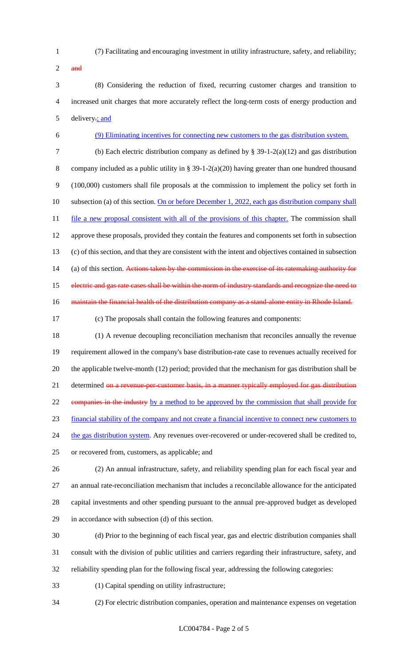- 
- (7) Facilitating and encouraging investment in utility infrastructure, safety, and reliability;
- and

 (8) Considering the reduction of fixed, recurring customer charges and transition to increased unit charges that more accurately reflect the long-term costs of energy production and 5 delivery-; and

(9) Eliminating incentives for connecting new customers to the gas distribution system.

 (b) Each electric distribution company as defined by § 39-1-2(a)(12) and gas distribution company included as a public utility in § 39-1-2(a)(20) having greater than one hundred thousand (100,000) customers shall file proposals at the commission to implement the policy set forth in 10 subsection (a) of this section. On or before December 1, 2022, each gas distribution company shall 11 file a new proposal consistent with all of the provisions of this chapter. The commission shall approve these proposals, provided they contain the features and components set forth in subsection (c) of this section, and that they are consistent with the intent and objectives contained in subsection 14 (a) of this section. Actions taken by the commission in the exercise of its ratemaking authority for 15 electric and gas rate cases shall be within the norm of industry standards and recognize the need to 16 maintain the financial health of the distribution company as a stand-alone entity in Rhode Island.

(c) The proposals shall contain the following features and components:

 (1) A revenue decoupling reconciliation mechanism that reconciles annually the revenue requirement allowed in the company's base distribution-rate case to revenues actually received for the applicable twelve-month (12) period; provided that the mechanism for gas distribution shall be 21 determined on a revenue-per-customer basis, in a manner typically employed for gas distribution companies in the industry by a method to be approved by the commission that shall provide for financial stability of the company and not create a financial incentive to connect new customers to 24 the gas distribution system. Any revenues over-recovered or under-recovered shall be credited to, or recovered from, customers, as applicable; and

 (2) An annual infrastructure, safety, and reliability spending plan for each fiscal year and an annual rate-reconciliation mechanism that includes a reconcilable allowance for the anticipated capital investments and other spending pursuant to the annual pre-approved budget as developed in accordance with subsection (d) of this section.

 (d) Prior to the beginning of each fiscal year, gas and electric distribution companies shall consult with the division of public utilities and carriers regarding their infrastructure, safety, and reliability spending plan for the following fiscal year, addressing the following categories:

- (1) Capital spending on utility infrastructure;
- (2) For electric distribution companies, operation and maintenance expenses on vegetation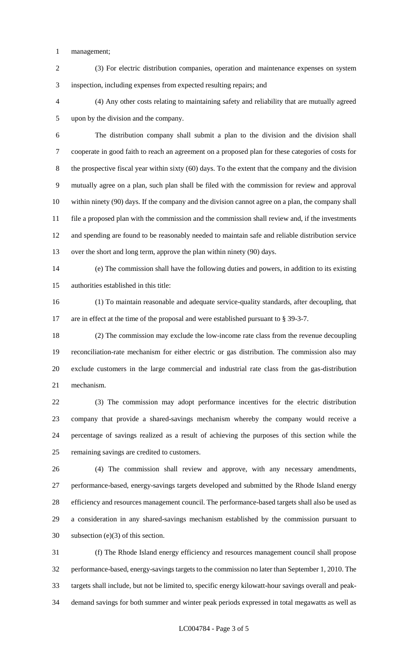management;

 (3) For electric distribution companies, operation and maintenance expenses on system inspection, including expenses from expected resulting repairs; and

 (4) Any other costs relating to maintaining safety and reliability that are mutually agreed upon by the division and the company.

 The distribution company shall submit a plan to the division and the division shall cooperate in good faith to reach an agreement on a proposed plan for these categories of costs for the prospective fiscal year within sixty (60) days. To the extent that the company and the division mutually agree on a plan, such plan shall be filed with the commission for review and approval within ninety (90) days. If the company and the division cannot agree on a plan, the company shall file a proposed plan with the commission and the commission shall review and, if the investments and spending are found to be reasonably needed to maintain safe and reliable distribution service over the short and long term, approve the plan within ninety (90) days.

 (e) The commission shall have the following duties and powers, in addition to its existing authorities established in this title:

 (1) To maintain reasonable and adequate service-quality standards, after decoupling, that are in effect at the time of the proposal and were established pursuant to § 39-3-7.

 (2) The commission may exclude the low-income rate class from the revenue decoupling reconciliation-rate mechanism for either electric or gas distribution. The commission also may exclude customers in the large commercial and industrial rate class from the gas-distribution mechanism.

 (3) The commission may adopt performance incentives for the electric distribution company that provide a shared-savings mechanism whereby the company would receive a percentage of savings realized as a result of achieving the purposes of this section while the remaining savings are credited to customers.

 (4) The commission shall review and approve, with any necessary amendments, performance-based, energy-savings targets developed and submitted by the Rhode Island energy efficiency and resources management council. The performance-based targets shall also be used as a consideration in any shared-savings mechanism established by the commission pursuant to subsection (e)(3) of this section.

 (f) The Rhode Island energy efficiency and resources management council shall propose performance-based, energy-savings targets to the commission no later than September 1, 2010. The targets shall include, but not be limited to, specific energy kilowatt-hour savings overall and peak-demand savings for both summer and winter peak periods expressed in total megawatts as well as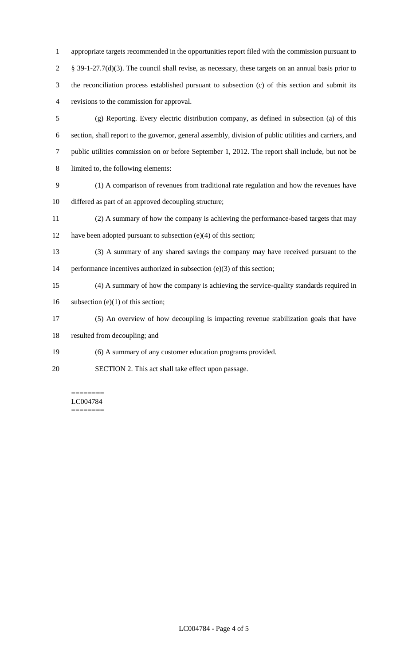appropriate targets recommended in the opportunities report filed with the commission pursuant to § 39-1-27.7(d)(3). The council shall revise, as necessary, these targets on an annual basis prior to the reconciliation process established pursuant to subsection (c) of this section and submit its revisions to the commission for approval.

 (g) Reporting. Every electric distribution company, as defined in subsection (a) of this section, shall report to the governor, general assembly, division of public utilities and carriers, and public utilities commission on or before September 1, 2012. The report shall include, but not be limited to, the following elements:

- (1) A comparison of revenues from traditional rate regulation and how the revenues have differed as part of an approved decoupling structure;
- (2) A summary of how the company is achieving the performance-based targets that may 12 have been adopted pursuant to subsection (e)(4) of this section;
- (3) A summary of any shared savings the company may have received pursuant to the 14 performance incentives authorized in subsection (e)(3) of this section;
- (4) A summary of how the company is achieving the service-quality standards required in
- 16 subsection (e)(1) of this section;
- (5) An overview of how decoupling is impacting revenue stabilization goals that have
- resulted from decoupling; and
- (6) A summary of any customer education programs provided.
- SECTION 2. This act shall take effect upon passage.

======== LC004784 ========